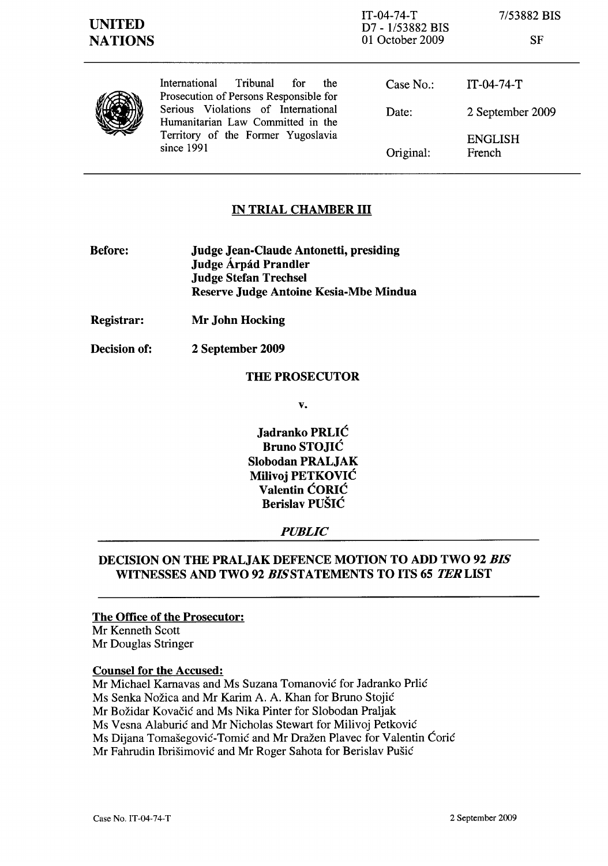| v<br>۰. |
|---------|
|---------|

| J<br>٠ |
|--------|
|--------|

International Tribunal for the Prosecution of Persons Responsible for Serious Violations of International Humanitarian Law Committed in the Territory of the Former Yugoslavia since 1991

Case No.: Date: Original: IT-04-74-T 2 September 2009 ENGLISH French

# IN TRIAL CHAMBER III

- Before: Judge Jean-Claude Antonetti, presiding Judge Árpád Prandler Judge Stefan Trechsel Reserve Judge Antoine Kesia-Mbe Mindua
- Registrar: Mr John Hocking
- Decision of: 2 September 2009

### THE PROSECUTOR

v.

Jadranko PRLIĆ Bruno STOJIĆ Slobodan PRALJAK Milivoj PETKOVIC Valentin CORIC Berislav PUSIC

## *PUBLIC*

## DECISION ON THE PRALJAK DEFENCE MOTION TO ADD TWO 92 *BIS*  WITNESSES AND TWO 92 *BISSTATEMENTS* TO ITS 65 TERLIST

### The Office of the Prosecutor:

Mr Kenneth Scott Mr Douglas Stringer

### Counsel for the Accused:

Mr Michael Karnavas and Ms Suzana Tomanović for Jadranko Prlić Ms Senka Nožica and Mr Karim A. A. Khan for Bruno Stojić Mr Božidar Kovačić and Ms Nika Pinter for Slobodan Praljak Ms Vesna Alaburić and Mr Nicholas Stewart for Milivoj Petković Ms Dijana Tomašegović-Tomić and Mr Dražen Plavec for Valentin Ćorić Mr Fahrudin Ibrišimović and Mr Roger Sahota for Berislav Pušić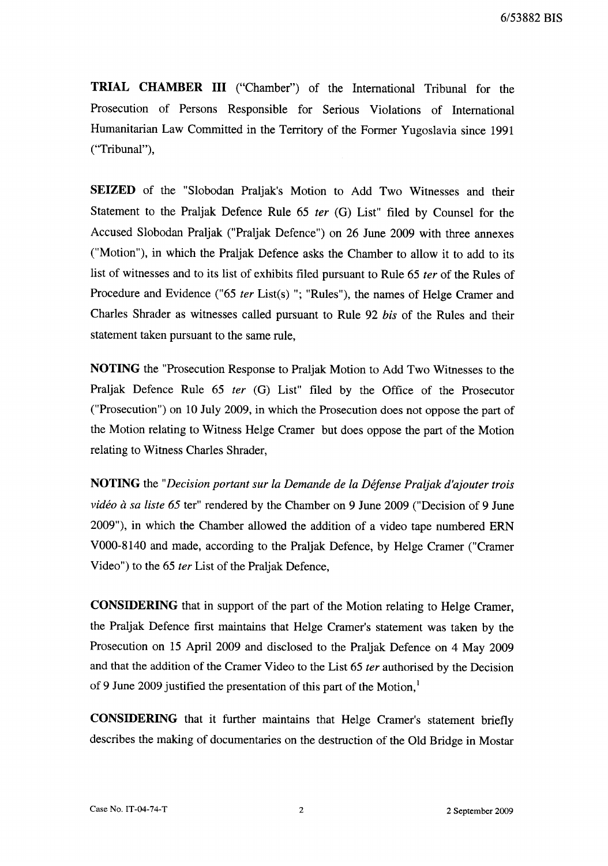**TRIAL CHAMBER III** ("Chamber") of the International Tribunal for the Prosecution of Persons Responsible for Serious Violations of International Humanitarian Law Committed in the Territory of the Former Yugoslavia since 1991 ("Tribunal"),

**SEIZED** of the "Slobodan Praljak's Motion to Add Two Witnesses and their Statement to the Praljak Defence Rule 65 *ter* (G) List" filed by Counsel for the Accused Slobodan Praljak ("Praljak Defence") on 26 June 2009 with three annexes ("Motion"), in which the Praljak Defence asks the Chamber to allow it to add to its list of witnesses and to its list of exhibits filed pursuant to Rule 65 *ter* of the Rules of Procedure and Evidence ("65 *ter* List(s) "; "Rules"), the names of Helge Cramer and Charles Shrader as witnesses called pursuant to Rule 92 *bis* of the Rules and their statement taken pursuant to the same rule,

**NOTING** the "Prosecution Response to Praljak Motion to Add Two Witnesses to the Praljak Defence Rule 65 *ter* (G) List" filed by the Office of the Prosecutor ("Prosecution") on 10 July 2009, in which the Prosecution does not oppose the part of the Motion relating to Witness Helge Cramer but does oppose the part of the Motion relating to Witness Charles Shrader,

**NOTING** the *"Decision portant sur la Demande de la Dejense Praljak d'ajouter trois video a sa liste* 65 ter" rendered by the Chamber on 9 June 2009 ("Decision of 9 June 2009"), in which the Chamber allowed the addition of a video tape numbered ERN VOOO-8140 and made, according to the Praljak Defence, by Helge Cramer ("Cramer Video") to the 65 *ter* List of the Praljak Defence,

**CONSIDERING** that in support of the part of the Motion relating to Helge Cramer, the Praljak Defence first maintains that Helge Cramer's statement was taken by the Prosecution on 15 April 2009 and disclosed to the Praljak Defence on 4 May 2009 and that the addition of the Cramer Video to the List 65 *ter* authorised by the Decision of 9 June 2009 justified the presentation of this part of the Motion,<sup>1</sup>

**CONSIDERING** that it further maintains that Helge Cramer's statement briefly describes the making of documentaries on the destruction of the Old Bridge in Mostar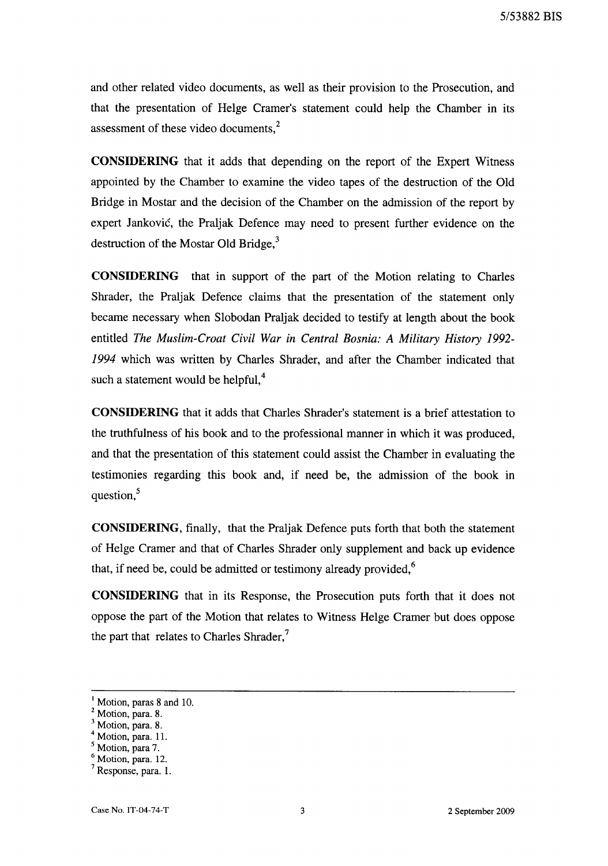and other related video documents, as well as their provision to the Prosecution, and that the presentation of Helge Cramer's statement could help the Chamber in its assessment of these video documents,<sup>2</sup>

**CONSIDERING** that it adds that depending on the report of the Expert Witness appointed by the Chamber to examine the video tapes of the destruction of the Old Bridge in Mostar and the decision of the Chamber on the admission of the report by expert Jankovic, the Praljak Defence may need to present further evidence on the destruction of the Mostar Old Bridge, $3$ 

**CONSIDERING** that in support of the part of the Motion relating to Charles Shrader, the Praljak Defence claims that the presentation of the statement only became necessary when Slobodan Praljak decided to testify at length about the book entitled *The Muslim-Croat Civil War in Central Bosnia: A Military History 1992-* 1994 which was written by Charles Shrader, and after the Chamber indicated that such a statement would be helpful, $4$ 

**CONSIDERING** that it adds that Charles Shrader's statement is a brief attestation to the truthfulness of his book and to the professional manner in which it was produced, and that the presentation of this statement could assist the Chamber in evaluating the testimonies regarding this book and, if need be, the admission of the book in question, $<sup>5</sup>$ </sup>

**CONSIDERING,** finally, that the Praljak Defence puts forth that both the statement of Helge Cramer and that of Charles Shrader only supplement and back up evidence that, if need be, could be admitted or testimony already provided, $6$ 

**CONSIDERING** that in its Response, the Prosecution puts forth that it does not oppose the part of the Motion that relates to Witness Helge Cramer but does oppose the part that relates to Charles Shrader, $<sup>7</sup>$ </sup>

<sup>&</sup>lt;sup>1</sup> Motion, paras 8 and 10.

<sup>2</sup> Motion, para. 8.

<sup>3</sup> Motion, para. 8.

<sup>&</sup>lt;sup>4</sup> Motion, para. 11.

<sup>&</sup>lt;sup>5</sup> Motion, para 7.

<sup>6</sup> Motion, para. 12.

<sup>7</sup> Response, para. 1.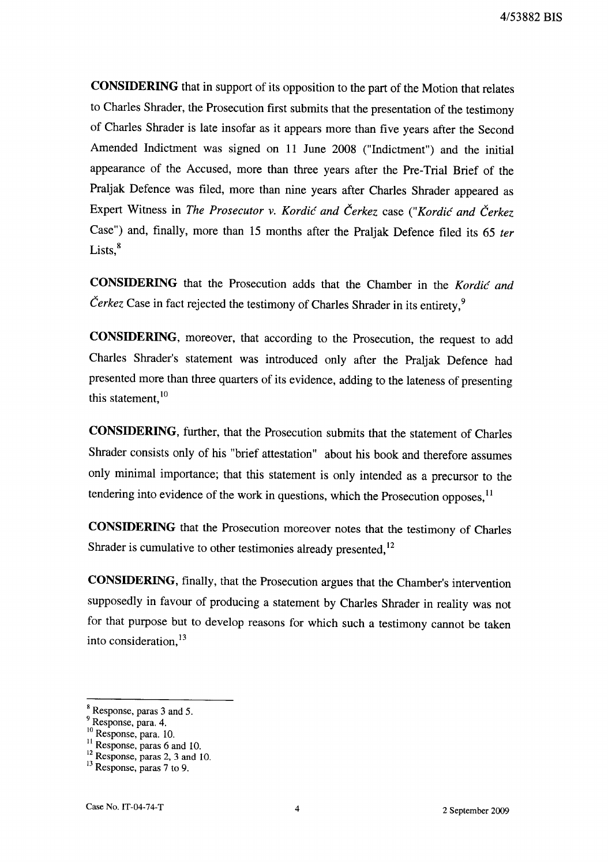**CONSIDERING** that in support of its opposition to the part of the Motion that relates to Charles Shrader, the Prosecution first submits that the presentation of the testimony of Charles Shrader is late insofar as it appears more than five years after the Second Amended Indictment was signed on 11 June 2008 ("Indictment") and the initial appearance of the Accused, more than three years after the Pre-Trial Brief of the Praljak Defence was filed, more than nine years after Charles Shrader appeared as Expert Witness in *The Prosecutor* v. *Kordic and Cerkez* case *("Kordic and Cerkez*  Case") and, finally, more than 15 months after the Praljak Defence filed its 65 *ter*   $Lists<sup>8</sup>$ 

**CONSIDERING** that the Prosecution adds that the Chamber in the *Kordic and Čerkez* Case in fact rejected the testimony of Charles Shrader in its entirety,<sup>9</sup>

**CONSIDERING,** moreover, that according to the Prosecution, the request to add Charles Shrader's statement was introduced only after the Praljak Defence had presented more than three quarters of its evidence, adding to the lateness of presenting this statement, 10

**CONSIDERING,** further, that the Prosecution submits that the statement of Charles Shrader consists only of his "brief attestation" about his book and therefore assumes only minimal importance; that this statement is only intended as a precursor to the tendering into evidence of the work in questions, which the Prosecution opposes, $11$ 

**CONSIDERING** that the Prosecution moreover notes that the testimony of Charles Shrader is cumulative to other testimonies already presented,<sup>12</sup>

**CONSIDERING,** finally, that the Prosecution argues that the Chamber's intervention supposedly in favour of producing a statement by Charles Shrader in reality was not for that purpose but to develop reasons for which such a testimony cannot be taken into consideration,<sup>13</sup>

<sup>&</sup>lt;sup>8</sup> Response, paras 3 and 5.

Response, para. 4.

<sup>10</sup> Response, para. 10.

Response, paras 6 and 10.

 $\frac{2}{3}$  Response, paras 2, 3 and 10.

 $13$  Response, paras 7 to 9.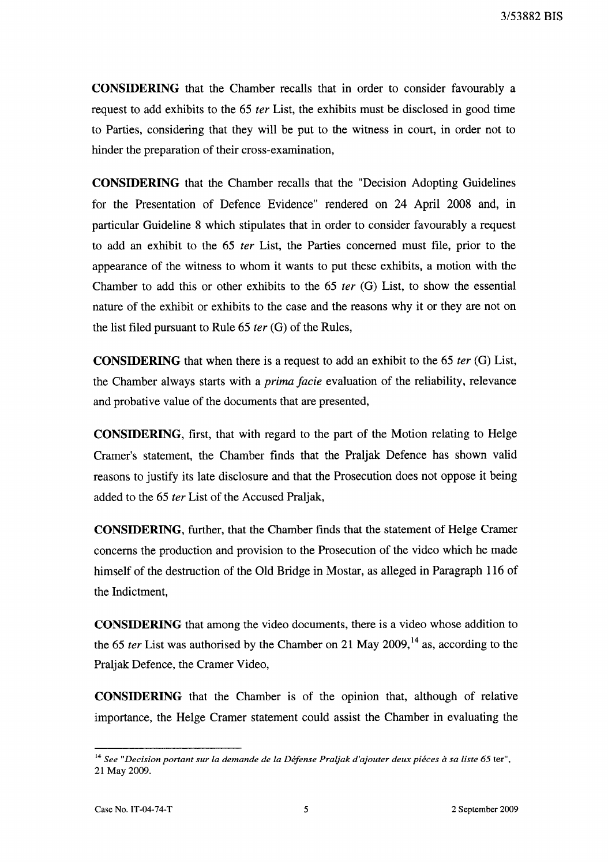3/53882 BIS

**CONSIDERING** that the Chamber recalls that in order to consider favourably a request to add exhibits to the 65 *ter* List, the exhibits must be disclosed in good time to Parties, considering that they will be put to the witness in court, in order not to hinder the preparation of their cross-examination,

**CONSIDERING** that the Chamber recalls that the "Decision Adopting Guidelines for the Presentation of Defence Evidence" rendered on 24 April 2008 and, in particular Guideline 8 which stipUlates that in order to consider favourably a request to add an exhibit to the 65 *ter* List, the Parties concerned must file, prior to the appearance of the witness to whom it wants to put these exhibits, a motion with the Chamber to add this or other exhibits to the 65 *ter* (G) List, to show the essential nature of the exhibit or exhibits to the case and the reasons why it or they are not on the list filed pursuant to Rule 65 *ter* (G) of the Rules,

**CONSIDERING** that when there is a request to add an exhibit to the 65 *ter* (G) List, the Chamber always starts with a *prima facie* evaluation of the reliability, relevance and probative value of the documents that are presented,

**CONSIDERING,** first, that with regard to the part of the Motion relating to Helge Cramer's statement, the Chamber finds that the Praljak Defence has shown valid reasons to justify its late disclosure and that the Prosecution does not oppose it being added to the 65 *ter* List of the Accused Praljak,

**CONSIDERING,** further, that the Chamber finds that the statement of Helge Cramer concerns the production and provision to the Prosecution of the video which he made himself of the destruction of the Old Bridge in Mostar, as alleged in Paragraph 116 of the Indictment,

**CONSIDERING** that among the video documents, there is a video whose addition to the 65 *ter* List was authorised by the Chamber on 21 May 2009,<sup>14</sup> as, according to the Praljak Defence, the Cramer Video,

**CONSIDERING** that the Chamber is of the opinion that, although of relative importance, the Helge Cramer statement could assist the Chamber in evaluating the

<sup>&</sup>lt;sup>14</sup> See "Decision portant sur la demande de la Défense Praljak d'ajouter deux piéces à sa liste 65 ter", 21 May 2009.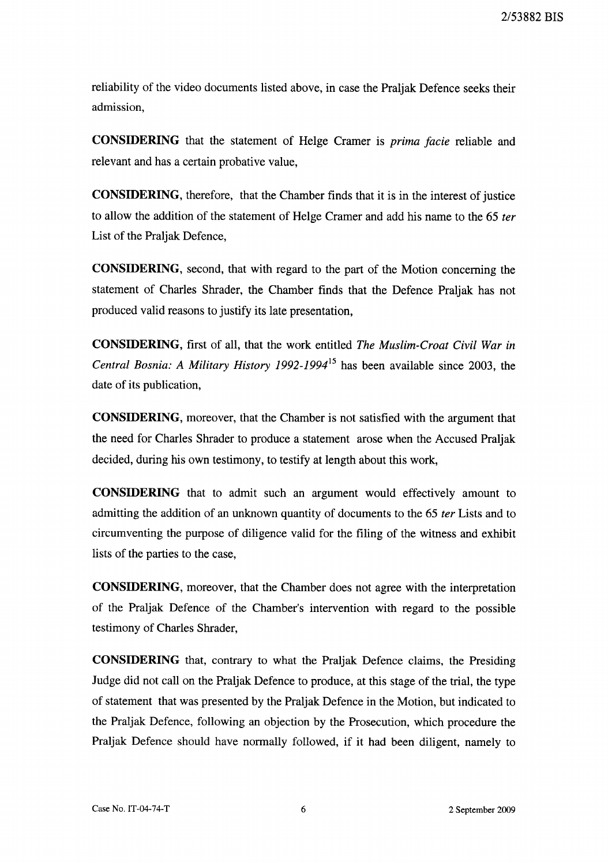reliability of the video documents listed above, in case the Praljak Defence seeks their admission,

**CONSIDERING** that the statement of Helge Cramer is *prima facie* reliable and relevant and has a certain probative value,

**CONSIDERING,** therefore, that the Chamber finds that it is in the interest of justice to allow the addition of the statement of Helge Cramer and add his name to the 65 *ter*  List of the Praljak Defence,

**CONSIDERING,** second, that with regard to the part of the Motion concerning the statement of Charles Shrader, the Chamber finds that the Defence Praljak has not produced valid reasons to justify its late presentation,

**CONSIDERING,** first of all, that the work entitled *The Muslim-Croat Civil War in Central Bosnia: A Military History 1992-1994*<sup>15</sup> has been available since 2003, the date of its publication,

**CONSIDERING,** moreover, that the Chamber is not satisfied with the argument that the need for Charles Shrader to produce a statement arose when the Accused Praljak decided, during his own testimony, to testify at length about this work,

**CONSIDERING** that to admit such an argument would effectively amount to admitting the addition of an unknown quantity of documents to the 65 *ter* Lists and to circumventing the purpose of diligence valid for the filing of the witness and exhibit lists of the parties to the case,

**CONSIDERING,** moreover, that the Chamber does not agree with the interpretation of the Praljak Defence of the Chamber's intervention with regard to the possible testimony of Charles Shrader,

**CONSIDERING** that, contrary to what the Praljak Defence claims, the Presiding Judge did not call on the Praljak Defence to produce, at this stage of the trial, the type of statement that was presented by the Praljak Defence in the Motion, but indicated to the Praljak Defence, following an objection by the Prosecution, which procedure the Praljak Defence should have normally followed, if it had been diligent, namely to